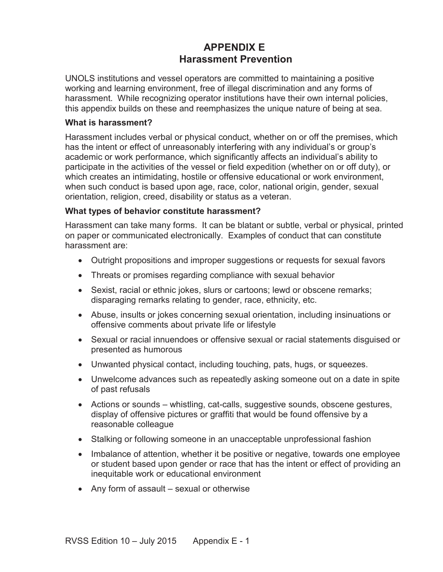# **APPENDIX E Harassment Prevention**

UNOLS institutions and vessel operators are committed to maintaining a positive working and learning environment, free of illegal discrimination and any forms of harassment. While recognizing operator institutions have their own internal policies, this appendix builds on these and reemphasizes the unique nature of being at sea.

## **What is harassment?**

Harassment includes verbal or physical conduct, whether on or off the premises, which has the intent or effect of unreasonably interfering with any individual's or group's academic or work performance, which significantly affects an individual's ability to participate in the activities of the vessel or field expedition (whether on or off duty), or which creates an intimidating, hostile or offensive educational or work environment, when such conduct is based upon age, race, color, national origin, gender, sexual orientation, religion, creed, disability or status as a veteran.

## **What types of behavior constitute harassment?**

Harassment can take many forms. It can be blatant or subtle, verbal or physical, printed on paper or communicated electronically. Examples of conduct that can constitute harassment are:

- Outright propositions and improper suggestions or requests for sexual favors
- Threats or promises regarding compliance with sexual behavior
- Sexist, racial or ethnic jokes, slurs or cartoons; lewd or obscene remarks; disparaging remarks relating to gender, race, ethnicity, etc.
- Abuse, insults or jokes concerning sexual orientation, including insinuations or offensive comments about private life or lifestyle
- Sexual or racial innuendoes or offensive sexual or racial statements disguised or presented as humorous
- Unwanted physical contact, including touching, pats, hugs, or squeezes.
- Unwelcome advances such as repeatedly asking someone out on a date in spite of past refusals
- Actions or sounds whistling, cat-calls, suggestive sounds, obscene gestures, display of offensive pictures or graffiti that would be found offensive by a reasonable colleague
- Stalking or following someone in an unacceptable unprofessional fashion
- Imbalance of attention, whether it be positive or negative, towards one employee or student based upon gender or race that has the intent or effect of providing an inequitable work or educational environment
- $\bullet$  Any form of assault sexual or otherwise